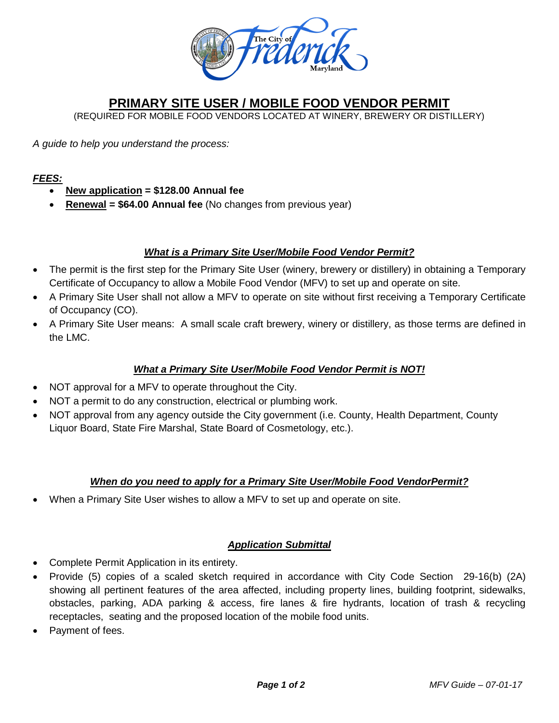

## **PRIMARY SITE USER / MOBILE FOOD VENDOR PERMIT**

(REQUIRED FOR MOBILE FOOD VENDORS LOCATED AT WINERY, BREWERY OR DISTILLERY)

*A guide to help you understand the process:*

## *FEES:*

- **New application = \$128.00 Annual fee**
- **Renewal = \$64.00 Annual fee** (No changes from previous year)

## *What is a Primary Site User/Mobile Food Vendor Permit?*

- The permit is the first step for the Primary Site User (winery, brewery or distillery) in obtaining a Temporary Certificate of Occupancy to allow a Mobile Food Vendor (MFV) to set up and operate on site.
- A Primary Site User shall not allow a MFV to operate on site without first receiving a Temporary Certificate of Occupancy (CO).
- A Primary Site User means: A small scale craft brewery, winery or distillery, as those terms are defined in the LMC.

## *What a Primary Site User/Mobile Food Vendor Permit is NOT!*

- NOT approval for a MFV to operate throughout the City.
- NOT a permit to do any construction, electrical or plumbing work.
- NOT approval from any agency outside the City government (i.e. County, Health Department, County Liquor Board, State Fire Marshal, State Board of Cosmetology, etc.).

## *When do you need to apply for a Primary Site User/Mobile Food VendorPermit?*

• When a Primary Site User wishes to allow a MFV to set up and operate on site.

## *Application Submittal*

- Complete Permit Application in its entirety.
- Provide (5) copies of a scaled sketch required in accordance with City Code Section 29-16(b) (2A) showing all pertinent features of the area affected, including property lines, building footprint, sidewalks, obstacles, parking, ADA parking & access, fire lanes & fire hydrants, location of trash & recycling receptacles, seating and the proposed location of the mobile food units.
- Payment of fees.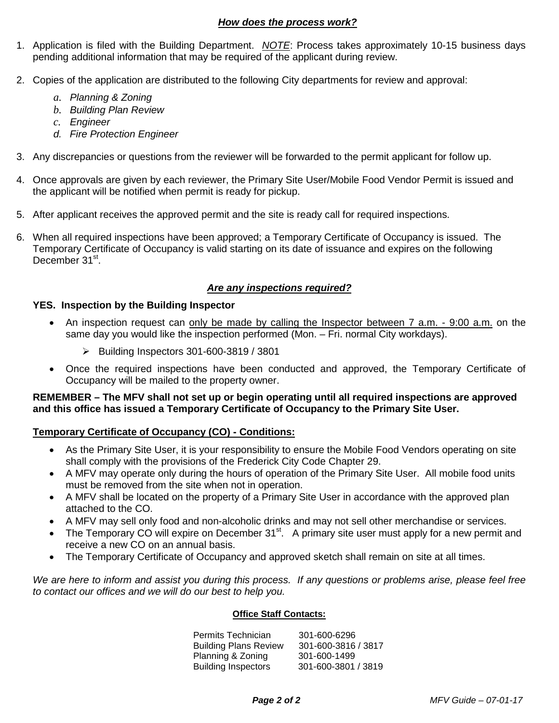## *How does the process work?*

- 1. Application is filed with the Building Department. *NOTE*: Process takes approximately 10-15 business days pending additional information that may be required of the applicant during review.
- 2. Copies of the application are distributed to the following City departments for review and approval:
	- *a. Planning & Zoning*
	- *b. Building Plan Review*
	- *c. Engineer*
	- *d. Fire Protection Engineer*
- 3. Any discrepancies or questions from the reviewer will be forwarded to the permit applicant for follow up.
- 4. Once approvals are given by each reviewer, the Primary Site User/Mobile Food Vendor Permit is issued and the applicant will be notified when permit is ready for pickup.
- 5. After applicant receives the approved permit and the site is ready call for required inspections.
- 6. When all required inspections have been approved; a Temporary Certificate of Occupancy is issued. The Temporary Certificate of Occupancy is valid starting on its date of issuance and expires on the following December 31<sup>st</sup>.

## *Are any inspections required?*

#### **YES. Inspection by the Building Inspector**

- An inspection request can only be made by calling the Inspector between 7 a.m. 9:00 a.m. on the same day you would like the inspection performed (Mon. – Fri. normal City workdays).
	- Building Inspectors 301-600-3819 / 3801
- Once the required inspections have been conducted and approved, the Temporary Certificate of Occupancy will be mailed to the property owner.

**REMEMBER – The MFV shall not set up or begin operating until all required inspections are approved and this office has issued a Temporary Certificate of Occupancy to the Primary Site User.**

## **Temporary Certificate of Occupancy (CO) - Conditions:**

- As the Primary Site User, it is your responsibility to ensure the Mobile Food Vendors operating on site shall comply with the provisions of the Frederick City Code Chapter 29.
- A MFV may operate only during the hours of operation of the Primary Site User. All mobile food units must be removed from the site when not in operation.
- A MFV shall be located on the property of a Primary Site User in accordance with the approved plan attached to the CO.
- A MFV may sell only food and non-alcoholic drinks and may not sell other merchandise or services.
- The Temporary CO will expire on December 31<sup>st</sup>. A primary site user must apply for a new permit and receive a new CO on an annual basis.
- The Temporary Certificate of Occupancy and approved sketch shall remain on site at all times.

*We are here to inform and assist you during this process. If any questions or problems arise, please feel free to contact our offices and we will do our best to help you.*

#### **Office Staff Contacts:**

 Permits Technician 301-600-6296 Building Plans Review 301-600-3816 / 3817 Planning & Zoning 301-600-1499<br>Building Inspectors 301-600-3801 / 3819 Building Inspectors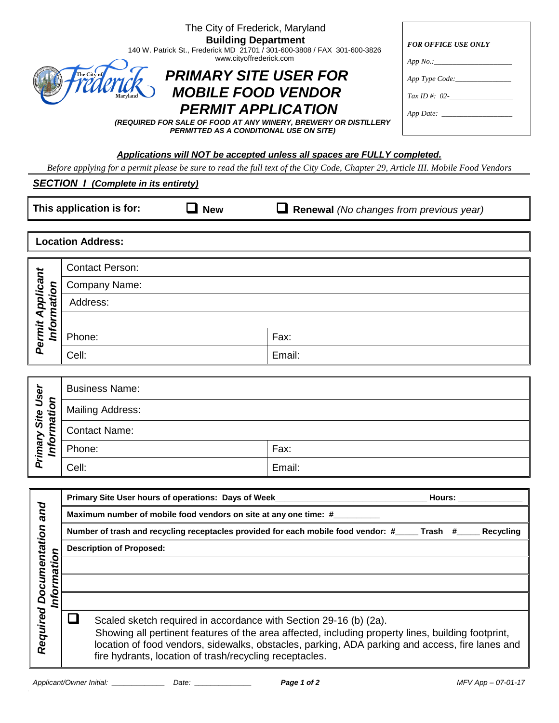| The City of Frederick, Maryland<br><b>Building Department</b><br>140 W. Patrick St., Frederick MD 21701 / 301-600-3808 / FAX 301-600-3826<br>www.cityoffrederick.com<br><b>PRIMARY SITE USER FOR</b><br>The City of<br><b>MOBILE FOOD VENDOR</b><br><b>PERMIT APPLICATION</b><br>(REQUIRED FOR SALE OF FOOD AT ANY WINERY, BREWERY OR DISTILLERY<br><b>PERMITTED AS A CONDITIONAL USE ON SITE)</b> |                                                                                                                                                                                                              |        | <b>FOR OFFICE USE ONLY</b><br>App No.:<br>$Tax ID \#: 02$ - |  |
|----------------------------------------------------------------------------------------------------------------------------------------------------------------------------------------------------------------------------------------------------------------------------------------------------------------------------------------------------------------------------------------------------|--------------------------------------------------------------------------------------------------------------------------------------------------------------------------------------------------------------|--------|-------------------------------------------------------------|--|
|                                                                                                                                                                                                                                                                                                                                                                                                    | Applications will NOT be accepted unless all spaces are FULLY completed.<br>Before applying for a permit please be sure to read the full text of the City Code, Chapter 29, Article III. Mobile Food Vendors |        |                                                             |  |
|                                                                                                                                                                                                                                                                                                                                                                                                    | <b>SECTION 1 (Complete in its entirety)</b>                                                                                                                                                                  |        |                                                             |  |
| This application is for:<br><b>New</b><br>Renewal (No changes from previous year)                                                                                                                                                                                                                                                                                                                  |                                                                                                                                                                                                              |        |                                                             |  |
|                                                                                                                                                                                                                                                                                                                                                                                                    | <b>Location Address:</b>                                                                                                                                                                                     |        |                                                             |  |
|                                                                                                                                                                                                                                                                                                                                                                                                    | <b>Contact Person:</b>                                                                                                                                                                                       |        |                                                             |  |
|                                                                                                                                                                                                                                                                                                                                                                                                    | Company Name:                                                                                                                                                                                                |        |                                                             |  |
| Information                                                                                                                                                                                                                                                                                                                                                                                        | Address:                                                                                                                                                                                                     |        |                                                             |  |
|                                                                                                                                                                                                                                                                                                                                                                                                    |                                                                                                                                                                                                              |        |                                                             |  |
| Permit Applicant                                                                                                                                                                                                                                                                                                                                                                                   | Phone:                                                                                                                                                                                                       | Fax:   |                                                             |  |
|                                                                                                                                                                                                                                                                                                                                                                                                    | Cell:                                                                                                                                                                                                        | Email: |                                                             |  |
|                                                                                                                                                                                                                                                                                                                                                                                                    |                                                                                                                                                                                                              |        |                                                             |  |

| User<br>nation<br>Site<br>rimary<br>Info<br>n | <b>Business Name:</b>   |        |  |
|-----------------------------------------------|-------------------------|--------|--|
|                                               | <b>Mailing Address:</b> |        |  |
|                                               | <b>Contact Name:</b>    |        |  |
|                                               | Phone:                  | Fax:   |  |
|                                               | Cell:                   | Email: |  |

|                                | Primary Site User hours of operations: Days of Week_<br>Hours:                                                                                                                                                                                                                                                                        |  |  |  |  |
|--------------------------------|---------------------------------------------------------------------------------------------------------------------------------------------------------------------------------------------------------------------------------------------------------------------------------------------------------------------------------------|--|--|--|--|
| pue                            | Maximum number of mobile food vendors on site at any one time: #                                                                                                                                                                                                                                                                      |  |  |  |  |
|                                | Number of trash and recycling receptacles provided for each mobile food vendor: #_____ Trash #____<br>Recycling                                                                                                                                                                                                                       |  |  |  |  |
|                                | <b>Description of Proposed:</b>                                                                                                                                                                                                                                                                                                       |  |  |  |  |
| ation                          |                                                                                                                                                                                                                                                                                                                                       |  |  |  |  |
| <b>Documentation</b><br>Inform |                                                                                                                                                                                                                                                                                                                                       |  |  |  |  |
|                                |                                                                                                                                                                                                                                                                                                                                       |  |  |  |  |
| Required                       | Scaled sketch required in accordance with Section 29-16 (b) (2a).<br>Showing all pertinent features of the area affected, including property lines, building footprint,<br>location of food vendors, sidewalks, obstacles, parking, ADA parking and access, fire lanes and<br>fire hydrants, location of trash/recycling receptacles. |  |  |  |  |

 $\ddot{\phantom{a}}$